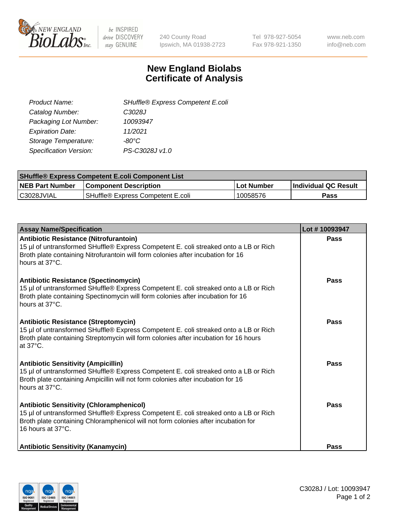

be INSPIRED drive DISCOVERY stay GENUINE

240 County Road Ipswich, MA 01938-2723 Tel 978-927-5054 Fax 978-921-1350 www.neb.com info@neb.com

## **New England Biolabs Certificate of Analysis**

| SHuffle® Express Competent E.coli |
|-----------------------------------|
| C3028J                            |
| 10093947                          |
| 11/2021                           |
| -80°C                             |
| PS-C3028J v1.0                    |
|                                   |

| <b>SHuffle® Express Competent E.coli Component List</b> |                                   |                   |                             |  |
|---------------------------------------------------------|-----------------------------------|-------------------|-----------------------------|--|
| <b>NEB Part Number</b>                                  | <b>Component Description</b>      | <b>Lot Number</b> | <b>Individual QC Result</b> |  |
| C3028JVIAL                                              | SHuffle® Express Competent E.coli | 10058576          | Pass                        |  |

| <b>Assay Name/Specification</b>                                                                                                                                                                                                                    | Lot #10093947 |
|----------------------------------------------------------------------------------------------------------------------------------------------------------------------------------------------------------------------------------------------------|---------------|
| Antibiotic Resistance (Nitrofurantoin)<br>15 µl of untransformed SHuffle® Express Competent E. coli streaked onto a LB or Rich<br>Broth plate containing Nitrofurantoin will form colonies after incubation for 16<br>hours at 37°C.               | Pass          |
| <b>Antibiotic Resistance (Spectinomycin)</b><br>15 µl of untransformed SHuffle® Express Competent E. coli streaked onto a LB or Rich<br>Broth plate containing Spectinomycin will form colonies after incubation for 16<br>hours at 37°C.          | Pass          |
| <b>Antibiotic Resistance (Streptomycin)</b><br>15 µl of untransformed SHuffle® Express Competent E. coli streaked onto a LB or Rich<br>Broth plate containing Streptomycin will form colonies after incubation for 16 hours<br>at 37°C.            | Pass          |
| <b>Antibiotic Sensitivity (Ampicillin)</b><br>15 µl of untransformed SHuffle® Express Competent E. coli streaked onto a LB or Rich<br>Broth plate containing Ampicillin will not form colonies after incubation for 16<br>hours at 37°C.           | Pass          |
| <b>Antibiotic Sensitivity (Chloramphenicol)</b><br>15 µl of untransformed SHuffle® Express Competent E. coli streaked onto a LB or Rich<br>Broth plate containing Chloramphenicol will not form colonies after incubation for<br>16 hours at 37°C. | Pass          |
| <b>Antibiotic Sensitivity (Kanamycin)</b>                                                                                                                                                                                                          | <b>Pass</b>   |